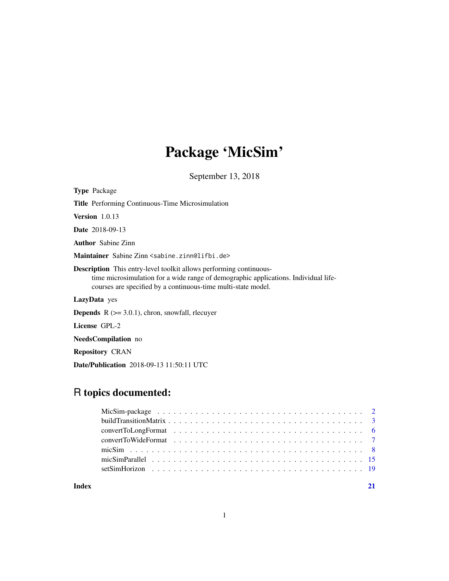# Package 'MicSim'

September 13, 2018

| <b>Type</b> Package                                                                                                                                                                                                               |  |  |
|-----------------------------------------------------------------------------------------------------------------------------------------------------------------------------------------------------------------------------------|--|--|
| <b>Title</b> Performing Continuous-Time Microsimulation                                                                                                                                                                           |  |  |
| <b>Version</b> $1.0.13$                                                                                                                                                                                                           |  |  |
| <b>Date</b> 2018-09-13                                                                                                                                                                                                            |  |  |
| <b>Author</b> Sabine Zinn                                                                                                                                                                                                         |  |  |
| Maintainer Sabine Zinn <sabine.zinn@lifbi.de></sabine.zinn@lifbi.de>                                                                                                                                                              |  |  |
| <b>Description</b> This entry-level toolkit allows performing continuous-<br>time microsimulation for a wide range of demographic applications. Individual life-<br>courses are specified by a continuous-time multi-state model. |  |  |
| <b>LazyData</b> yes                                                                                                                                                                                                               |  |  |
| <b>Depends</b> $R$ ( $> = 3.0.1$ ), chron, snowfall, requirement                                                                                                                                                                  |  |  |
| License GPL-2                                                                                                                                                                                                                     |  |  |
| NeedsCompilation no                                                                                                                                                                                                               |  |  |
| <b>Repository CRAN</b>                                                                                                                                                                                                            |  |  |

Date/Publication 2018-09-13 11:50:11 UTC

# R topics documented:

| Index |  |
|-------|--|

# 1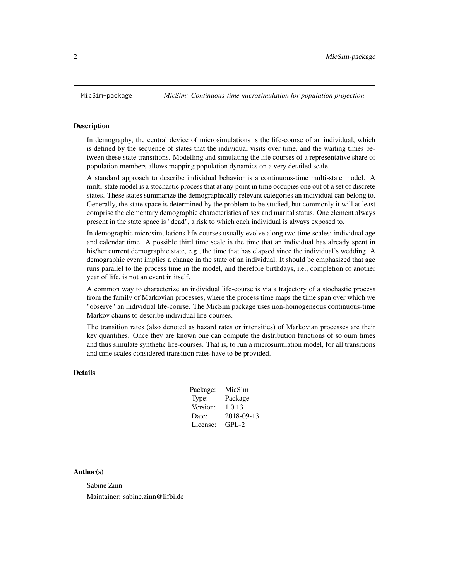#### <span id="page-1-0"></span>Description

In demography, the central device of microsimulations is the life-course of an individual, which is defined by the sequence of states that the individual visits over time, and the waiting times between these state transitions. Modelling and simulating the life courses of a representative share of population members allows mapping population dynamics on a very detailed scale.

A standard approach to describe individual behavior is a continuous-time multi-state model. A multi-state model is a stochastic process that at any point in time occupies one out of a set of discrete states. These states summarize the demographically relevant categories an individual can belong to. Generally, the state space is determined by the problem to be studied, but commonly it will at least comprise the elementary demographic characteristics of sex and marital status. One element always present in the state space is "dead", a risk to which each individual is always exposed to.

In demographic microsimulations life-courses usually evolve along two time scales: individual age and calendar time. A possible third time scale is the time that an individual has already spent in his/her current demographic state, e.g., the time that has elapsed since the individual's wedding. A demographic event implies a change in the state of an individual. It should be emphasized that age runs parallel to the process time in the model, and therefore birthdays, i.e., completion of another year of life, is not an event in itself.

A common way to characterize an individual life-course is via a trajectory of a stochastic process from the family of Markovian processes, where the process time maps the time span over which we "observe" an individual life-course. The MicSim package uses non-homogeneous continuous-time Markov chains to describe individual life-courses.

The transition rates (also denoted as hazard rates or intensities) of Markovian processes are their key quantities. Once they are known one can compute the distribution functions of sojourn times and thus simulate synthetic life-courses. That is, to run a microsimulation model, for all transitions and time scales considered transition rates have to be provided.

#### Details

| Package: | MicSim     |
|----------|------------|
| Type:    | Package    |
| Version: | 1.0.13     |
| Date:    | 2018-09-13 |
| License: | $GPI - 2$  |

#### Author(s)

Sabine Zinn Maintainer: sabine.zinn@lifbi.de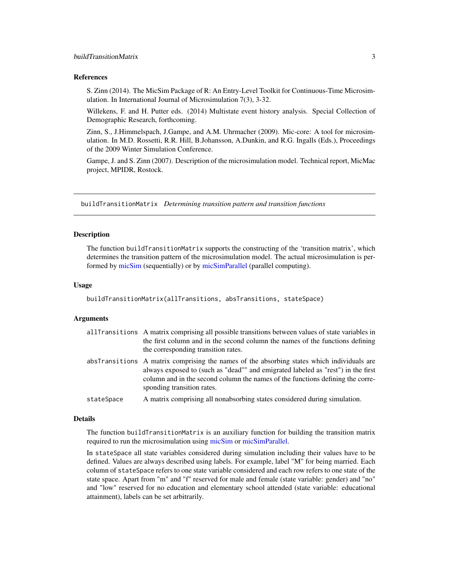#### <span id="page-2-0"></span>References

S. Zinn (2014). The MicSim Package of R: An Entry-Level Toolkit for Continuous-Time Microsimulation. In International Journal of Microsimulation 7(3), 3-32.

Willekens, F. and H. Putter eds. (2014) Multistate event history analysis. Special Collection of Demographic Research, forthcoming.

Zinn, S., J.Himmelspach, J.Gampe, and A.M. Uhrmacher (2009). Mic-core: A tool for microsimulation. In M.D. Rossetti, R.R. Hill, B.Johansson, A.Dunkin, and R.G. Ingalls (Eds.), Proceedings of the 2009 Winter Simulation Conference.

Gampe, J. and S. Zinn (2007). Description of the microsimulation model. Technical report, MicMac project, MPIDR, Rostock.

<span id="page-2-1"></span>buildTransitionMatrix *Determining transition pattern and transition functions*

#### Description

The function buildTransitionMatrix supports the constructing of the 'transition matrix', which determines the transition pattern of the microsimulation model. The actual microsimulation is performed by [micSim](#page-7-1) (sequentially) or by [micSimParallel](#page-14-1) (parallel computing).

#### Usage

```
buildTransitionMatrix(allTransitions, absTransitions, stateSpace)
```
#### Arguments

| allTransitions A matrix comprising all possible transitions between values of state variables in |
|--------------------------------------------------------------------------------------------------|
| the first column and in the second column the names of the functions defining                    |
| the corresponding transition rates.                                                              |
| absTransitions A matrix comprising the names of the absorbing states which individuals are       |

- always exposed to (such as "dead"" and emigrated labeled as "rest") in the first column and in the second column the names of the functions defining the corresponding transition rates.
- stateSpace A matrix comprising all nonabsorbing states considered during simulation.

#### Details

The function buildTransitionMatrix is an auxiliary function for building the transition matrix required to run the microsimulation using [micSim](#page-7-1) or [micSimParallel.](#page-14-1)

In stateSpace all state variables considered during simulation including their values have to be defined. Values are always described using labels. For example, label "M" for being married. Each column of stateSpace refers to one state variable considered and each row refers to one state of the state space. Apart from "m" and "f" reserved for male and female (state variable: gender) and "no" and "low" reserved for no education and elementary school attended (state variable: educational attainment), labels can be set arbitrarily.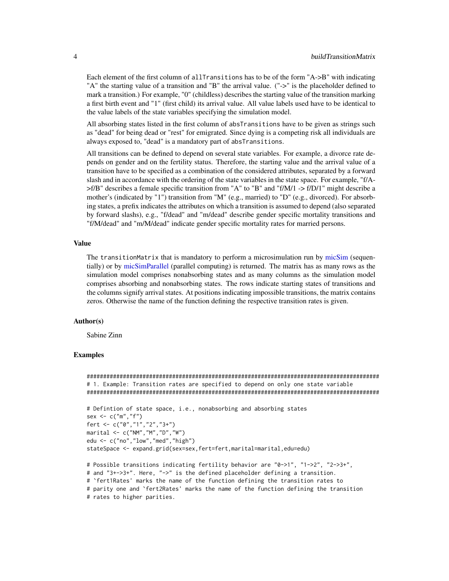Each element of the first column of allTransitions has to be of the form "A->B" with indicating "A" the starting value of a transition and "B" the arrival value. ("->" is the placeholder defined to mark a transition.) For example, "0" (childless) describes the starting value of the transition marking a first birth event and "1" (first child) its arrival value. All value labels used have to be identical to the value labels of the state variables specifying the simulation model.

All absorbing states listed in the first column of absTransitions have to be given as strings such as "dead" for being dead or "rest" for emigrated. Since dying is a competing risk all individuals are always exposed to, "dead" is a mandatory part of absTransitions.

All transitions can be defined to depend on several state variables. For example, a divorce rate depends on gender and on the fertility status. Therefore, the starting value and the arrival value of a transition have to be specified as a combination of the considered attributes, separated by a forward slash and in accordance with the ordering of the state variables in the state space. For example, "f/A-  $\geq$ f/B" describes a female specific transition from "A" to "B" and "f/M/1  $\geq$  f/D/1" might describe a mother's (indicated by "1") transition from "M" (e.g., married) to "D" (e.g., divorced). For absorbing states, a prefix indicates the attributes on which a transition is assumed to depend (also separated by forward slashs), e.g., "f/dead" and "m/dead" describe gender specific mortality transitions and "f/M/dead" and "m/M/dead" indicate gender specific mortality rates for married persons.

#### Value

The transitionMatrix that is mandatory to perform a microsimulation run by [micSim](#page-7-1) (sequentially) or by [micSimParallel](#page-14-1) (parallel computing) is returned. The matrix has as many rows as the simulation model comprises nonabsorbing states and as many columns as the simulation model comprises absorbing and nonabsorbing states. The rows indicate starting states of transitions and the columns signify arrival states. At positions indicating impossible transitions, the matrix contains zeros. Otherwise the name of the function defining the respective transition rates is given.

#### Author(s)

Sabine Zinn

#### Examples

```
#########################################################################################
# 1. Example: Transition rates are specified to depend on only one state variable
#########################################################################################
# Defintion of state space, i.e., nonabsorbing and absorbing states
sex \leq -c("m", "f")fert <- c("0","1","2","3+")
marital <- c("NM","M","D","W")
edu <- c("no","low","med","high")
stateSpace <- expand.grid(sex=sex,fert=fert,marital=marital,edu=edu)
# Possible transitions indicating fertility behavior are "0->1", "1->2", "2->3+",
# and "3+->3+". Here, "->" is the defined placeholder defining a transition.
# `fert1Rates' marks the name of the function defining the transition rates to
# parity one and `fert2Rates' marks the name of the function defining the transition
# rates to higher parities.
```
<span id="page-3-0"></span>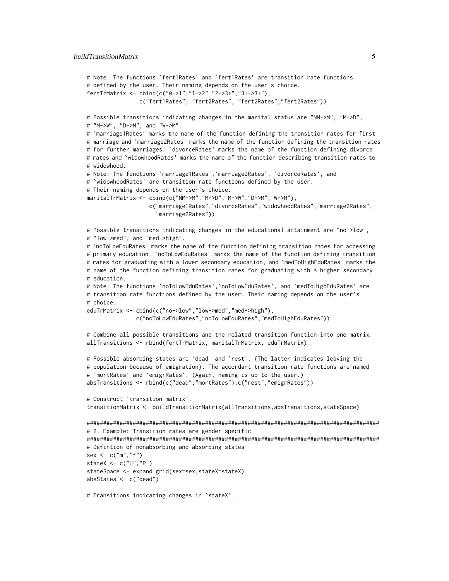#### buildTransitionMatrix 5

```
# Note: The functions `fert1Rates' and `fert1Rates' are transition rate functions
# defined by the user. Their naming depends on the user's choice.
fertTrMatrix <- cbind(c("0->1","1->2","2->3+","3+->3+"),
                c("fert1Rates", "fert2Rates", "fert2Rates","fert2Rates"))
# Possible transitions indicating changes in the marital status are "NM->M", "M->D",
# "M->W", "D->M", and "W->M".
# `marriage1Rates' marks the name of the function defining the transition rates for first
# marriage and `marriage2Rates' marks the name of the function defining the transition rates
# for further marriages. `divorceRates' marks the name of the function defining divorce
# rates and `widowhoodRates' marks the name of the function describing transition rates to
# widowhood.
# Note: The functions `marriage1Rates',`marriage2Rates', `divorceRates', and
# `widowhoodRates' are transition rate functions defined by the user.
# Their naming depends on the user's choice.
maritalTrMatrix <- cbind(c("NM->M","M->D","M->W","D->M","W->M"),
                   c("marriage1Rates","divorceRates","widowhoodRates","marriage2Rates",
                     "marriage2Rates"))
# Possible transitions indicating changes in the educational attainment are "no->low",
# "low->med", and "med->high".
# `noToLowEduRates' marks the name of the function defining transition rates for accessing
# primary education, `noToLowEduRates' marks the name of the function defining transition
# rates for graduating with a lower secondary education, and `medToHighEduRates' marks the
# name of the function defining transition rates for graduating with a higher secondary
# education.
# Note: The functions `noToLowEduRates',`noToLowEduRates', and `medToHighEduRates' are
# transition rate functions defined by the user. Their naming depends on the user's
# choice.
eduTrMatrix <- cbind(c("no->low","low->med","med->high"),
              c("noToLowEduRates","noToLowEduRates","medToHighEduRates"))
# Combine all possible transitions and the related transition function into one matrix.
allTransitions <- rbind(fertTrMatrix, maritalTrMatrix, eduTrMatrix)
# Possible absorbing states are `dead' and `rest'. (The latter indicates leaving the
# population because of emigration). The accordant transition rate functions are named
# `mortRates' and `emigrRates'. (Again, naming is up to the user.)
absTransitions <- rbind(c("dead","mortRates"),c("rest","emigrRates"))
# Construct `transition matrix'.
transitionMatrix <- buildTransitionMatrix(allTransitions,absTransitions,stateSpace)
#########################################################################################
# 2. Example: Transition rates are gender specific
#########################################################################################
# Defintion of nonabsorbing and absorbing states
sex \leq -c("m", "f")stateX <- c("H","P")
stateSpace <- expand.grid(sex=sex,stateX=stateX)
absStates <- c("dead")
# Transitions indicating changes in `stateX'.
```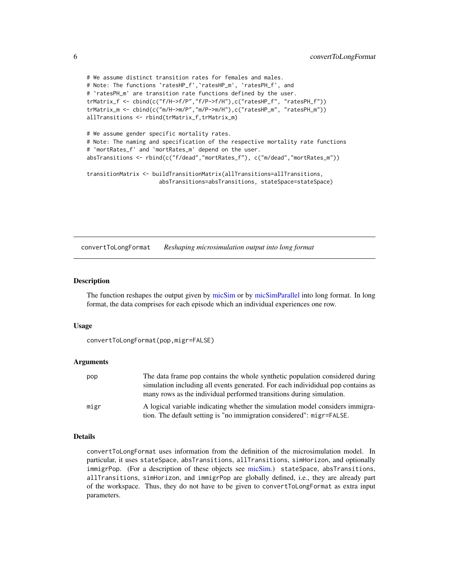```
# We assume distinct transition rates for females and males.
# Note: The functions `ratesHP_f',`ratesHP_m', `ratesPH_f', and
# `ratesPH_m' are transition rate functions defined by the user.
trMatrix_f <- cbind(c("f/H->f/P","f/P->f/H"),c("ratesHP_f", "ratesPH_f"))
trMatrix_m <- cbind(c("m/H->m/P","m/P->m/H"),c("ratesHP_m", "ratesPH_m"))
allTransitions <- rbind(trMatrix_f,trMatrix_m)
# We assume gender specific mortality rates.
# Note: The naming and specification of the respective mortality rate functions
# `mortRates_f' and `mortRates_m' depend on the user.
absTransitions <- rbind(c("f/dead","mortRates_f"), c("m/dead","mortRates_m"))
transitionMatrix <- buildTransitionMatrix(allTransitions=allTransitions,
                      absTransitions=absTransitions, stateSpace=stateSpace)
```
<span id="page-5-1"></span>convertToLongFormat *Reshaping microsimulation output into long format*

#### Description

The function reshapes the output given by [micSim](#page-7-1) or by [micSimParallel](#page-14-1) into long format. In long format, the data comprises for each episode which an individual experiences one row.

#### Usage

```
convertToLongFormat(pop,migr=FALSE)
```
#### Arguments

| pop  | The data frame pop contains the whole synthetic population considered during     |
|------|----------------------------------------------------------------------------------|
|      | simulation including all events generated. For each individidual pop contains as |
|      | many rows as the individual performed transitions during simulation.             |
| migr | A logical variable indicating whether the simulation model considers immigra-    |
|      | tion. The default setting is "no immigration considered": migr=FALSE.            |

#### Details

convertToLongFormat uses information from the definition of the microsimulation model. In particular, it uses stateSpace, absTransitions, allTransitions, simHorizon, and optionally immigrPop. (For a description of these objects see [micSim.](#page-7-1)) stateSpace, absTransitions, allTransitions, simHorizon, and immigrPop are globally defined, i.e., they are already part of the workspace. Thus, they do not have to be given to convertToLongFormat as extra input parameters.

<span id="page-5-0"></span>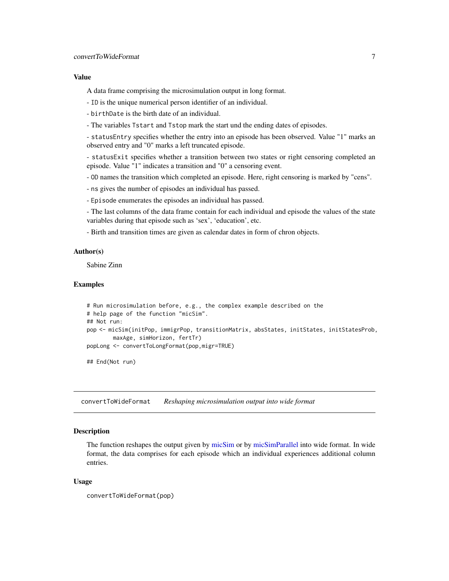#### <span id="page-6-0"></span>Value

A data frame comprising the microsimulation output in long format.

- ID is the unique numerical person identifier of an individual.
- birthDate is the birth date of an individual.
- The variables Tstart and Tstop mark the start und the ending dates of episodes.

- statusEntry specifies whether the entry into an episode has been observed. Value "1" marks an observed entry and "0" marks a left truncated episode.

- statusExit specifies whether a transition between two states or right censoring completed an episode. Value "1" indicates a transition and "0" a censoring event.

- OD names the transition which completed an episode. Here, right censoring is marked by "cens".
- ns gives the number of episodes an individual has passed.
- Episode enumerates the episodes an individual has passed.

- The last columns of the data frame contain for each individual and episode the values of the state variables during that episode such as 'sex', 'education', etc.

- Birth and transition times are given as calendar dates in form of chron objects.

#### Author(s)

Sabine Zinn

#### Examples

```
# Run microsimulation before, e.g., the complex example described on the
# help page of the function "micSim".
## Not run:
pop <- micSim(initPop, immigrPop, transitionMatrix, absStates, initStates, initStatesProb,
       maxAge, simHorizon, fertTr)
popLong <- convertToLongFormat(pop,migr=TRUE)
```
## End(Not run)

convertToWideFormat *Reshaping microsimulation output into wide format*

# **Description**

The function reshapes the output given by [micSim](#page-7-1) or by [micSimParallel](#page-14-1) into wide format. In wide format, the data comprises for each episode which an individual experiences additional column entries.

#### Usage

```
convertToWideFormat(pop)
```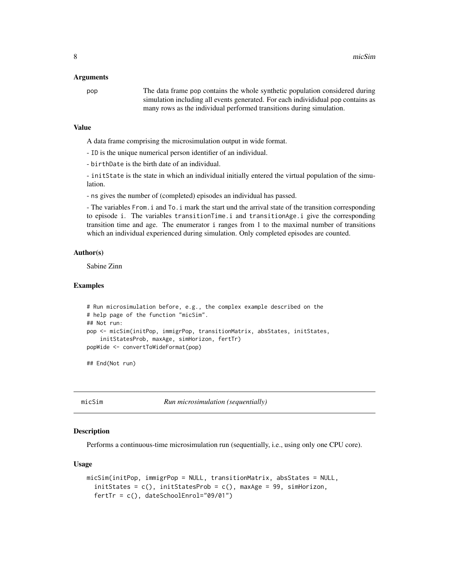#### <span id="page-7-0"></span>Arguments

pop The data frame pop contains the whole synthetic population considered during simulation including all events generated. For each individidual pop contains as many rows as the individual performed transitions during simulation.

#### Value

A data frame comprising the microsimulation output in wide format.

- ID is the unique numerical person identifier of an individual.
- birthDate is the birth date of an individual.

- initState is the state in which an individual initially entered the virtual population of the simulation.

- ns gives the number of (completed) episodes an individual has passed.

- The variables From.i and To.i mark the start und the arrival state of the transition corresponding to episode i. The variables transitionTime.i and transitionAge.i give the corresponding transition time and age. The enumerator i ranges from 1 to the maximal number of transitions which an individual experienced during simulation. Only completed episodes are counted.

#### Author(s)

Sabine Zinn

#### Examples

```
# Run microsimulation before, e.g., the complex example described on the
# help page of the function "micSim".
## Not run:
pop <- micSim(initPop, immigrPop, transitionMatrix, absStates, initStates,
    initStatesProb, maxAge, simHorizon, fertTr)
popWide <- convertToWideFormat(pop)
```
## End(Not run)

<span id="page-7-1"></span>

micSim *Run microsimulation (sequentially)*

#### Description

Performs a continuous-time microsimulation run (sequentially, i.e., using only one CPU core).

#### Usage

```
micSim(initPop, immigrPop = NULL, transitionMatrix, absStates = NULL,
  initStates = c(), initStatesProb = c(), maxAge = 99, simHorizon,
  fertTr = c(), dateSchoolEnrol="09/01")
```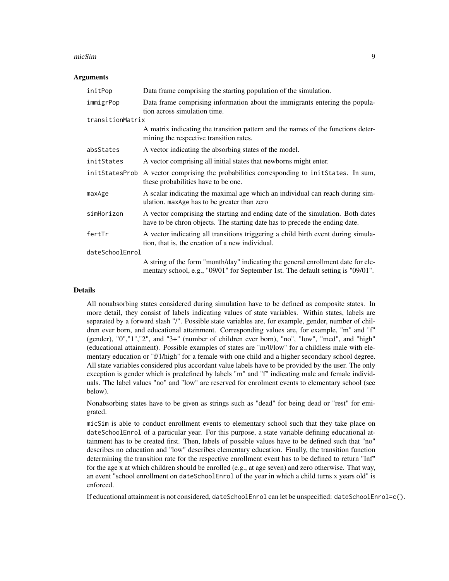#### micSim 9

#### **Arguments**

| initPop          | Data frame comprising the starting population of the simulation.                                                                                                     |  |  |  |
|------------------|----------------------------------------------------------------------------------------------------------------------------------------------------------------------|--|--|--|
| immigrPop        | Data frame comprising information about the immigrants entering the popula-<br>tion across simulation time.                                                          |  |  |  |
| transitionMatrix |                                                                                                                                                                      |  |  |  |
|                  | A matrix indicating the transition pattern and the names of the functions deter-<br>mining the respective transition rates.                                          |  |  |  |
| absStates        | A vector indicating the absorbing states of the model.                                                                                                               |  |  |  |
| initStates       | A vector comprising all initial states that newborns might enter.                                                                                                    |  |  |  |
| initStatesProb   | A vector comprising the probabilities corresponding to initerates. In sum,<br>these probabilities have to be one.                                                    |  |  |  |
| maxAge           | A scalar indicating the maximal age which an individual can reach during sim-<br>ulation. maxAge has to be greater than zero                                         |  |  |  |
| simHorizon       | A vector comprising the starting and ending date of the simulation. Both dates<br>have to be chron objects. The starting date has to precede the ending date.        |  |  |  |
| fertTr           | A vector indicating all transitions triggering a child birth event during simula-<br>tion, that is, the creation of a new individual.                                |  |  |  |
| dateSchoolEnrol  |                                                                                                                                                                      |  |  |  |
|                  | A string of the form "month/day" indicating the general enrollment date for ele-<br>mentary school, e.g., "09/01" for September 1st. The default setting is "09/01". |  |  |  |

#### Details

All nonabsorbing states considered during simulation have to be defined as composite states. In more detail, they consist of labels indicating values of state variables. Within states, labels are separated by a forward slash "/". Possible state variables are, for example, gender, number of children ever born, and educational attainment. Corresponding values are, for example, "m" and "f" (gender), "0","1","2", and "3+" (number of children ever born), "no", "low", "med", and "high" (educational attainment). Possible examples of states are "m/0/low" for a childless male with elementary education or "f/1/high" for a female with one child and a higher secondary school degree. All state variables considered plus accordant value labels have to be provided by the user. The only exception is gender which is predefined by labels "m" and "f" indicating male and female individuals. The label values "no" and "low" are reserved for enrolment events to elementary school (see below).

Nonabsorbing states have to be given as strings such as "dead" for being dead or "rest" for emigrated.

micSim is able to conduct enrollment events to elementary school such that they take place on dateSchoolEnrol of a particular year. For this purpose, a state variable defining educational attainment has to be created first. Then, labels of possible values have to be defined such that "no" describes no education and "low" describes elementary education. Finally, the transition function determining the transition rate for the respective enrollment event has to be defined to return "Inf" for the age x at which children should be enrolled (e.g., at age seven) and zero otherwise. That way, an event "school enrollment on dateSchoolEnrol of the year in which a child turns x years old" is enforced.

If educational attainment is not considered, dateSchoolEnrol can let be unspecified: dateSchoolEnrol=c().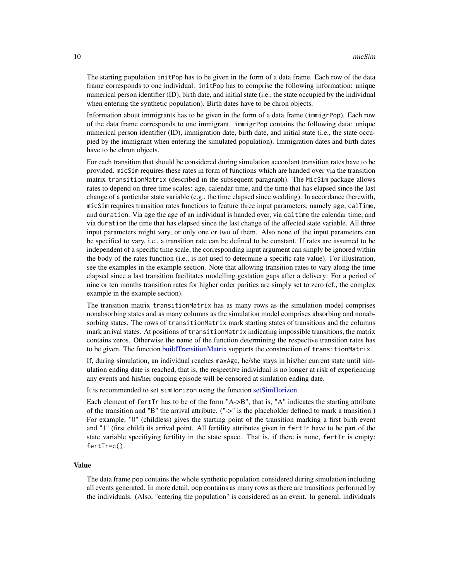<span id="page-9-0"></span>The starting population initPop has to be given in the form of a data frame. Each row of the data frame corresponds to one individual. initPop has to comprise the following information: unique numerical person identifier (ID), birth date, and initial state (i.e., the state occupied by the individual when entering the synthetic population). Birth dates have to be chron objects.

Information about immigrants has to be given in the form of a data frame (immigrPop). Each row of the data frame corresponds to one immigrant. immigrPop contains the following data: unique numerical person identifier (ID), immigration date, birth date, and initial state (i.e., the state occupied by the immigrant when entering the simulated population). Immigration dates and birth dates have to be chron objects.

For each transition that should be considered during simulation accordant transition rates have to be provided. micSim requires these rates in form of functions which are handed over via the transition matrix transitionMatrix (described in the subsequent paragraph). The MicSim package allows rates to depend on three time scales: age, calendar time, and the time that has elapsed since the last change of a particular state variable (e.g., the time elapsed since wedding). In accordance therewith, micSim requires transition rates functions to feature three input parameters, namely age, calTime, and duration. Via age the age of an individual is handed over, via caltime the calendar time, and via duration the time that has elapsed since the last change of the affected state variable. All three input parameters might vary, or only one or two of them. Also none of the input parameters can be specified to vary, i.e., a transition rate can be defined to be constant. If rates are assumed to be independent of a specific time scale, the corresponding input argument can simply be ignored within the body of the rates function (i.e., is not used to determine a specific rate value). For illustration, see the examples in the example section. Note that allowing transition rates to vary along the time elapsed since a last transition facilitates modelling gestation gaps after a delivery: For a period of nine or ten months transition rates for higher order parities are simply set to zero (cf., the complex example in the example section).

The transition matrix transitionMatrix has as many rows as the simulation model comprises nonabsorbing states and as many columns as the simulation model comprises absorbing and nonabsorbing states. The rows of transitionMatrix mark starting states of transitions and the columns mark arrival states. At positions of transitionMatrix indicating impossible transitions, the matrix contains zeros. Otherwise the name of the function determining the respective transition rates has to be given. The function [buildTransitionMatrix](#page-2-1) supports the construction of transitionMatrix.

If, during simulation, an individual reaches maxAge, he/she stays in his/her current state until simulation ending date is reached, that is, the respective individual is no longer at risk of experiencing any events and his/her ongoing episode will be censored at simlation ending date.

It is recommended to set simHorizon using the function [setSimHorizon.](#page-18-1)

Each element of fertTr has to be of the form "A->B", that is, "A" indicates the starting attribute of the transition and "B" the arrival attribute. ("->" is the placeholder defined to mark a transition.) For example, "0" (childless) gives the starting point of the transition marking a first birth event and "1" (first child) its arrival point. All fertility attributes given in fertTr have to be part of the state variable specifiying fertility in the state space. That is, if there is none, fertTr is empty: fertTr=c().

# Value

The data frame pop contains the whole synthetic population considered during simulation including all events generated. In more detail, pop contains as many rows as there are transitions performed by the individuals. (Also, "entering the population" is considered as an event. In general, individuals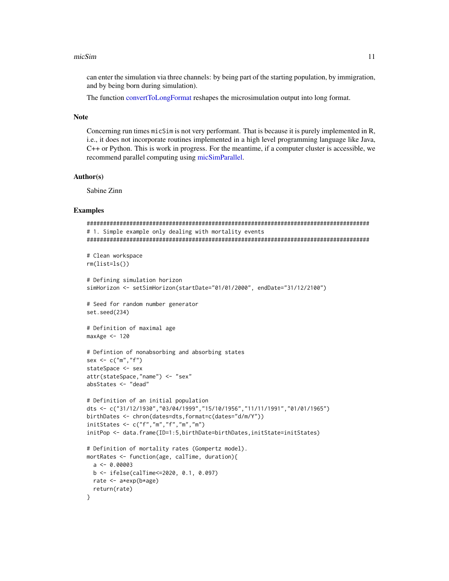#### <span id="page-10-0"></span>micSim and the contract of the contract of the contract of the contract of the contract of the contract of the contract of the contract of the contract of the contract of the contract of the contract of the contract of the

can enter the simulation via three channels: by being part of the starting population, by immigration, and by being born during simulation).

The function [convertToLongFormat](#page-5-1) reshapes the microsimulation output into long format.

### Note

Concerning run times micSim is not very performant. That is because it is purely implemented in R, i.e., it does not incorporate routines implemented in a high level programming language like Java, C++ or Python. This is work in progress. For the meantime, if a computer cluster is accessible, we recommend parallel computing using [micSimParallel.](#page-14-1)

# Author(s)

Sabine Zinn

#### Examples

```
######################################################################################
# 1. Simple example only dealing with mortality events
######################################################################################
# Clean workspace
rm(list=ls())
# Defining simulation horizon
simHorizon <- setSimHorizon(startDate="01/01/2000", endDate="31/12/2100")
# Seed for random number generator
set.seed(234)
# Definition of maximal age
maxAge < -120# Defintion of nonabsorbing and absorbing states
sex \leq c("m", "f")stateSpace <- sex
attr(stateSpace,"name") <- "sex"
absStates <- "dead"
# Definition of an initial population
dts <- c("31/12/1930","03/04/1999","15/10/1956","11/11/1991","01/01/1965")
birthDates <- chron(dates=dts,format=c(dates="d/m/Y"))
initStates <- c("f","m","f","m","m")
initPop <- data.frame(ID=1:5,birthDate=birthDates,initState=initStates)
# Definition of mortality rates (Gompertz model).
mortRates <- function(age, calTime, duration){
 a \leftarrow 0.00003b <- ifelse(calTime<=2020, 0.1, 0.097)
 rate <- a*exp(b*age)
 return(rate)
}
```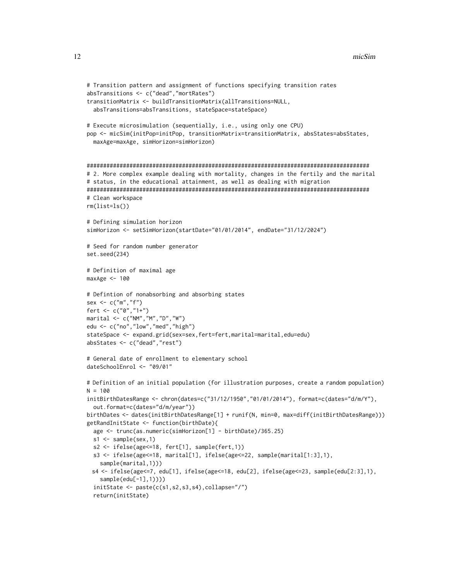```
# Transition pattern and assignment of functions specifying transition rates
absTransitions <- c("dead","mortRates")
transitionMatrix <- buildTransitionMatrix(allTransitions=NULL,
  absTransitions=absTransitions, stateSpace=stateSpace)
# Execute microsimulation (sequentially, i.e., using only one CPU)
pop <- micSim(initPop=initPop, transitionMatrix=transitionMatrix, absStates=absStates,
  maxAge=maxAge, simHorizon=simHorizon)
######################################################################################
# 2. More complex example dealing with mortality, changes in the fertily and the marital
# status, in the educational attainment, as well as dealing with migration
######################################################################################
# Clean workspace
rm(list=ls())
# Defining simulation horizon
simHorizon <- setSimHorizon(startDate="01/01/2014", endDate="31/12/2024")
# Seed for random number generator
set.seed(234)
# Definition of maximal age
maxAge <- 100
# Defintion of nonabsorbing and absorbing states
sex \leq \leq \leq \leq \leq \leq \leq \leq \leq \leq \leq \leq \leq \leq \leq \leq \leq \leq \leq \leq \leq \leq \leq \leq \leq \leq \leq \leq \leq \leq \leq \leq \leq \leq \leq \leq fert <- c("0","1+")
marital <- c("NM","M","D","W")
edu <- c("no","low","med","high")
stateSpace <- expand.grid(sex=sex,fert=fert,marital=marital,edu=edu)
absStates <- c("dead","rest")
# General date of enrollment to elementary school
dateSchoolEnrol <- "09/01"
# Definition of an initial population (for illustration purposes, create a random population)
N = 100initBirthDatesRange <- chron(dates=c("31/12/1950","01/01/2014"), format=c(dates="d/m/Y"),
  out.format=c(dates="d/m/year"))
birthDates <- dates(initBirthDatesRange[1] + runif(N, min=0, max=diff(initBirthDatesRange)))
getRandInitState <- function(birthDate){
  age <- trunc(as.numeric(simHorizon[1] - birthDate)/365.25)
  s1 \leftarrow sample(sex,1)s2 <- ifelse(age<=18, fert[1], sample(fert,1))
  s3 <- ifelse(age<=18, marital[1], ifelse(age<=22, sample(marital[1:3],1),
    sample(marital,1)))
 s4 <- ifelse(age<=7, edu[1], ifelse(age<=18, edu[2], ifelse(age<=23, sample(edu[2:3],1),
    sample(edu[-1],1))))
  initState <- paste(c(s1,s2,s3,s4),collapse="/")
  return(initState)
```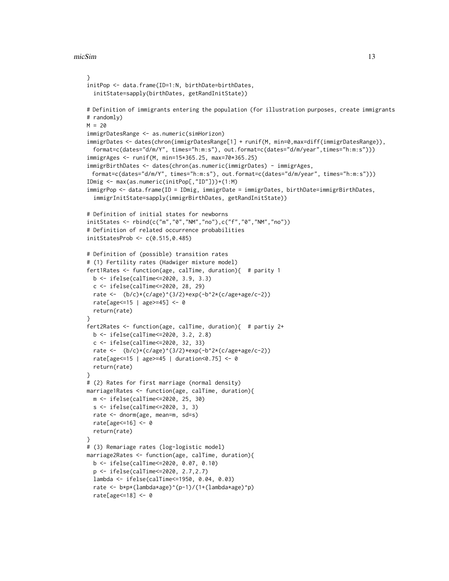#### micSim and the contract of the contract of the contract of the contract of the contract of the contract of the contract of the contract of the contract of the contract of the contract of the contract of the contract of the

```
}
initPop <- data.frame(ID=1:N, birthDate=birthDates,
  initState=sapply(birthDates, getRandInitState))
# Definition of immigrants entering the population (for illustration purposes, create immigrants
# randomly)
M = 20immigrDatesRange <- as.numeric(simHorizon)
immigrDates <- dates(chron(immigrDatesRange[1] + runif(M, min=0,max=diff(immigrDatesRange)),
  format=c(dates="d/m/Y", times="h:m:s"), out.format=c(dates="d/m/year",times="h:m:s")))
immigrAges <- runif(M, min=15*365.25, max=70*365.25)
immigrBirthDates <- dates(chron(as.numeric(immigrDates) - immigrAges,
  format=c(dates="d/m/Y", times="h:m:s"), out.format=c(dates="d/m/year", times="h:m:s")))
IDmig <- max(as.numeric(initPop[,"ID"]))+(1:M)
immigrPop <- data.frame(ID = IDmig, immigrDate = immigrDates, birthDate=immigrBirthDates,
  immigrInitState=sapply(immigrBirthDates, getRandInitState))
# Definition of initial states for newborns
initStates <- rbind(c("m","0","NM","no"),c("f","0","NM","no"))
# Definition of related occurrence probabilities
initStatesProb <- c(0.515,0.485)
# Definition of (possible) transition rates
# (1) Fertility rates (Hadwiger mixture model)
fert1Rates <- function(age, calTime, duration){ # parity 1
  b <- ifelse(calTime<=2020, 3.9, 3.3)
  c <- ifelse(calTime<=2020, 28, 29)
  rate <- (b/c)*(c/age)^(3/2)*exp(-b^2*(c/age+age/c-2))rate[age<=15 | age>=45] <- 0
  return(rate)
}
fert2Rates <- function(age, calTime, duration){ # partiy 2+
  b <- ifelse(calTime<=2020, 3.2, 2.8)
  c <- ifelse(calTime<=2020, 32, 33)
  rate <- (b/c)*(c/age)^(3/2)*exp(-b^2*(c/age+age/c-2))rate[age<=15 | age>=45 | duration<0.75] <- 0
  return(rate)
}
# (2) Rates for first marriage (normal density)
marriage1Rates <- function(age, calTime, duration){
  m <- ifelse(calTime<=2020, 25, 30)
  s <- ifelse(calTime<=2020, 3, 3)
  rate <- dnorm(age, mean=m, sd=s)
  rate[age<=16] <- 0
  return(rate)
}
# (3) Remariage rates (log-logistic model)
marriage2Rates <- function(age, calTime, duration){
  b <- ifelse(calTime<=2020, 0.07, 0.10)
  p <- ifelse(calTime<=2020, 2.7,2.7)
  lambda <- ifelse(calTime<=1950, 0.04, 0.03)
  rate <- b*p*(lambda*age)^(p-1)/(1+(lambda*age)^p)
  rate[age<=18] <- 0
```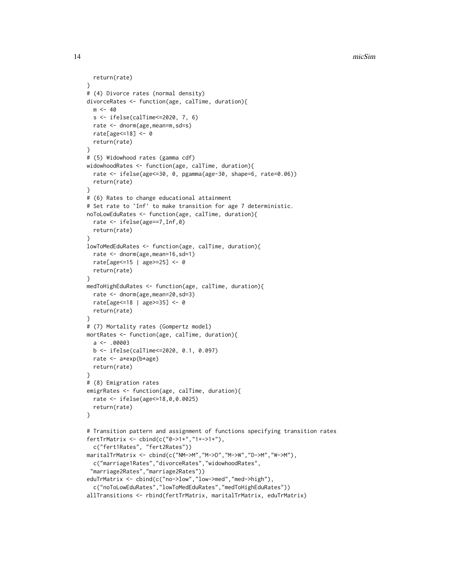14 micSim

```
return(rate)
}
# (4) Divorce rates (normal density)
divorceRates <- function(age, calTime, duration){
 m < -40s <- ifelse(calTime<=2020, 7, 6)
  rate <- dnorm(age,mean=m,sd=s)
  rate[age<=18] <- 0
  return(rate)
}
# (5) Widowhood rates (gamma cdf)
widowhoodRates <- function(age, calTime, duration){
  rate <- ifelse(age<=30, 0, pgamma(age-30, shape=6, rate=0.06))
  return(rate)
}
# (6) Rates to change educational attainment
# Set rate to `Inf' to make transition for age 7 deterministic.
noToLowEduRates <- function(age, calTime, duration){
  rate <- ifelse(age==7,Inf,0)
  return(rate)
}
lowToMedEduRates <- function(age, calTime, duration){
  rate <- dnorm(age,mean=16,sd=1)
  rate[age<=15 | age>=25] <- 0
  return(rate)
}
medToHighEduRates <- function(age, calTime, duration){
  rate <- dnorm(age,mean=20,sd=3)
  rate[age<=18 | age>=35] <- 0
  return(rate)
}
# (7) Mortality rates (Gompertz model)
mortRates <- function(age, calTime, duration){
  a \leftarrow .00003b <- ifelse(calTime<=2020, 0.1, 0.097)
  rate <- a*exp(b*age)
  return(rate)
}
# (8) Emigration rates
emigrRates <- function(age, calTime, duration){
  rate <- ifelse(age<=18,0,0.0025)
  return(rate)
}
# Transition pattern and assignment of functions specifying transition rates
fertTrMatrix <- cbind(c("0->1+","1+->1+"),
  c("fert1Rates", "fert2Rates"))
maritalTrMatrix <- cbind(c("NM->M","M->D","M->W","D->M","W->M"),
  c("marriage1Rates","divorceRates","widowhoodRates",
 "marriage2Rates","marriage2Rates"))
eduTrMatrix <- cbind(c("no->low","low->med","med->high"),
  c("noToLowEduRates","lowToMedEduRates","medToHighEduRates"))
allTransitions <- rbind(fertTrMatrix, maritalTrMatrix, eduTrMatrix)
```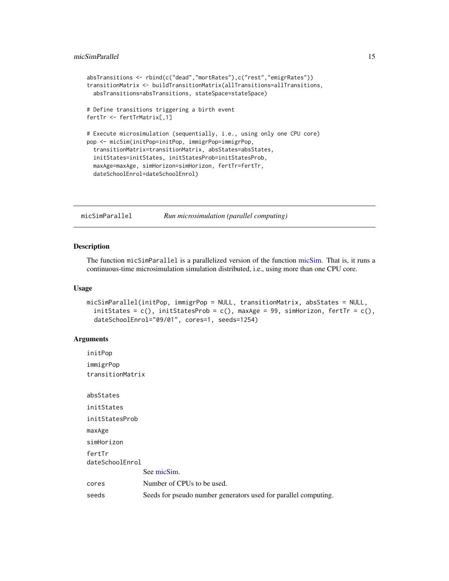```
absTransitions <- rbind(c("dead","mortRates"),c("rest","emigrRates"))
transitionMatrix <- buildTransitionMatrix(allTransitions=allTransitions,
 absTransitions=absTransitions, stateSpace=stateSpace)
# Define transitions triggering a birth event
fertTr <- fertTrMatrix[,1]
# Execute microsimulation (sequentially, i.e., using only one CPU core)
pop <- micSim(initPop=initPop, immigrPop=immigrPop,
 transitionMatrix=transitionMatrix, absStates=absStates,
 initStates=initStates, initStatesProb=initStatesProb,
 maxAge=maxAge, simHorizon=simHorizon, fertTr=fertTr,
 dateSchoolEnrol=dateSchoolEnrol)
```
<span id="page-14-1"></span>micSimParallel *Run microsimulation (parallel computing)*

#### Description

The function micSimParallel is a parallelized version of the function [micSim.](#page-7-1) That is, it runs a continuous-time microsimulation simulation distributed, i.e., using more than one CPU core.

#### Usage

```
micSimParallel(initPop, immigrPop = NULL, transitionMatrix, absStates = NULL,
 initStates = c(), initStatesProb = c(), maxAge = 99, simHorizon, fertTr = c(),
  dateSchoolEnrol="09/01", cores=1, seeds=1254)
```
# Arguments

initPop immigrPop transitionMatrix absStates initStates initStatesProb maxAge simHorizon fertTr dateSchoolEnrol See [micSim.](#page-7-1) cores Number of CPUs to be used. seeds Seeds for pseudo number generators used for parallel computing.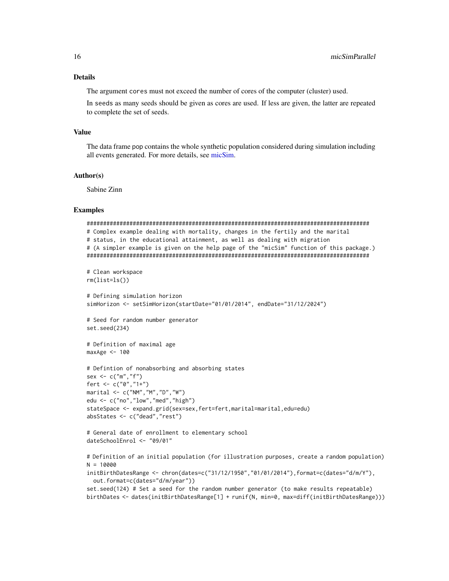# <span id="page-15-0"></span>Details

The argument cores must not exceed the number of cores of the computer (cluster) used.

In seeds as many seeds should be given as cores are used. If less are given, the latter are repeated to complete the set of seeds.

#### Value

The data frame pop contains the whole synthetic population considered during simulation including all events generated. For more details, see [micSim.](#page-7-1)

#### Author(s)

Sabine Zinn

# Examples

```
######################################################################################
# Complex example dealing with mortality, changes in the fertily and the marital
# status, in the educational attainment, as well as dealing with migration
# (A simpler example is given on the help page of the "micSim" function of this package.)
######################################################################################
# Clean workspace
rm(list=ls())
# Defining simulation horizon
simHorizon <- setSimHorizon(startDate="01/01/2014", endDate="31/12/2024")
# Seed for random number generator
set.seed(234)
# Definition of maximal age
maxAge < -100# Defintion of nonabsorbing and absorbing states
sex \leq c("m", "f")fert <- c("0","1+")
marital <- c("NM","M","D","W")
edu <- c("no","low","med","high")
stateSpace <- expand.grid(sex=sex,fert=fert,marital=marital,edu=edu)
absStates <- c("dead","rest")
# General date of enrollment to elementary school
dateSchoolEnrol <- "09/01"
# Definition of an initial population (for illustration purposes, create a random population)
N = 10000
initBirthDatesRange <- chron(dates=c("31/12/1950","01/01/2014"),format=c(dates="d/m/Y"),
 out.format=c(dates="d/m/year"))
```

```
set.seed(124) # Set a seed for the random number generator (to make results repeatable)
birthDates <- dates(initBirthDatesRange[1] + runif(N, min=0, max=diff(initBirthDatesRange)))
```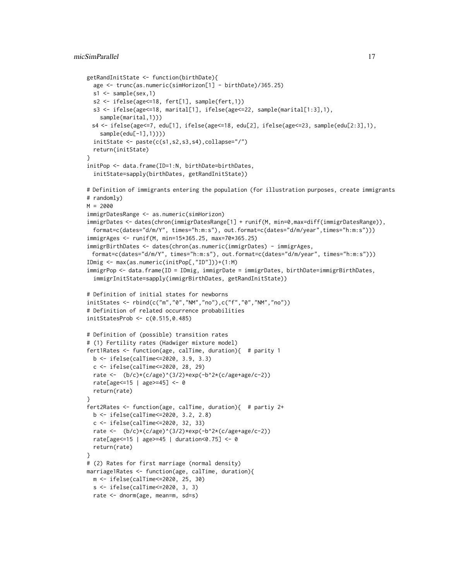```
getRandInitState <- function(birthDate){
  age <- trunc(as.numeric(simHorizon[1] - birthDate)/365.25)
  s1 \leftarrow sample(sex,1)s2 <- ifelse(age<=18, fert[1], sample(fert,1))
  s3 <- ifelse(age<=18, marital[1], ifelse(age<=22, sample(marital[1:3],1),
    sample(marital,1)))
 s4 <- ifelse(age<=7, edu[1], ifelse(age<=18, edu[2], ifelse(age<=23, sample(edu[2:3],1),
    sample(edu[-1],1))))
  initState \leftarrow paste(c(s1, s2, s3, s4), collapse="')return(initState)
}
initPop <- data.frame(ID=1:N, birthDate=birthDates,
  initState=sapply(birthDates, getRandInitState))
# Definition of immigrants entering the population (for illustration purposes, create immigrants
# randomly)
M = 2000immigrDatesRange <- as.numeric(simHorizon)
immigrDates <- dates(chron(immigrDatesRange[1] + runif(M, min=0,max=diff(immigrDatesRange)),
  format=c(dates="d/m/Y", times="h:m:s"), out.format=c(dates="d/m/year",times="h:m:s")))
immigrAges <- runif(M, min=15*365.25, max=70*365.25)
immigrBirthDates <- dates(chron(as.numeric(immigrDates) - immigrAges,
 format=c(dates="d/m/Y", times="h:m:s"), out.format=c(dates="d/m/year", times="h:m:s")))
IDmig <- max(as.numeric(initPop[,"ID"]))+(1:M)
immigrPop <- data.frame(ID = IDmig, immigrDate = immigrDates, birthDate=immigrBirthDates,
  immigrInitState=sapply(immigrBirthDates, getRandInitState))
# Definition of initial states for newborns
initStates <- rbind(c("m","0","NM","no"),c("f","0","NM","no"))
# Definition of related occurrence probabilities
initStatesProb <- c(0.515,0.485)
# Definition of (possible) transition rates
# (1) Fertility rates (Hadwiger mixture model)
fert1Rates <- function(age, calTime, duration){ # parity 1
  b <- ifelse(calTime<=2020, 3.9, 3.3)
  c <- ifelse(calTime<=2020, 28, 29)
  rate <- (b/c)*(c/age)^(3/2)*exp(-b^2*(c/age+age/c-2))rate[age<=15 | age>=45] <- 0
  return(rate)
}
fert2Rates <- function(age, calTime, duration){ # partiy 2+
  b <- ifelse(calTime<=2020, 3.2, 2.8)
  c <- ifelse(calTime<=2020, 32, 33)
  rate <- (b/c)*(c/age)^(3/2)*exp(-b^2*(c/age+age/c-2))rate[age<=15 | age>=45 | duration<0.75] <- 0
  return(rate)
}
# (2) Rates for first marriage (normal density)
marriage1Rates <- function(age, calTime, duration){
  m <- ifelse(calTime<=2020, 25, 30)
  s <- ifelse(calTime<=2020, 3, 3)
  rate <- dnorm(age, mean=m, sd=s)
```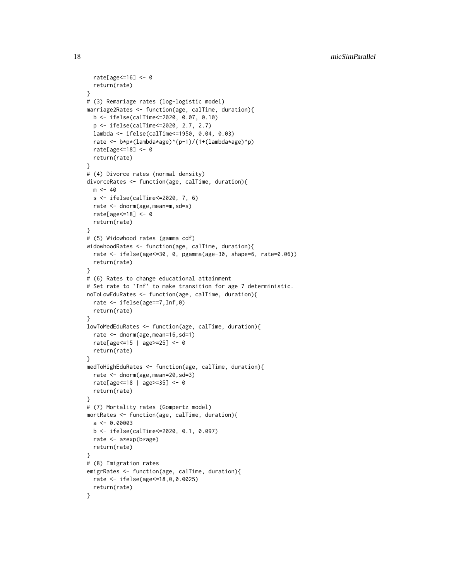```
rate[age<=16] <- 0
  return(rate)
}
# (3) Remariage rates (log-logistic model)
marriage2Rates <- function(age, calTime, duration){
  b <- ifelse(calTime<=2020, 0.07, 0.10)
  p <- ifelse(calTime<=2020, 2.7, 2.7)
  lambda <- ifelse(calTime<=1950, 0.04, 0.03)
  rate <- b*p*(lambda*age)^(p-1)/(1+(lambda*age)^p)
  rate[age<=18] <- 0
  return(rate)
}
# (4) Divorce rates (normal density)
divorceRates <- function(age, calTime, duration){
  m < -40s <- ifelse(calTime<=2020, 7, 6)
  rate <- dnorm(age,mean=m,sd=s)
  rate[age<=18] <- 0
  return(rate)
}
# (5) Widowhood rates (gamma cdf)
widowhoodRates <- function(age, calTime, duration){
  rate <- ifelse(age<=30, 0, pgamma(age-30, shape=6, rate=0.06))
  return(rate)
}
# (6) Rates to change educational attainment
# Set rate to `Inf' to make transition for age 7 deterministic.
noToLowEduRates <- function(age, calTime, duration){
  rate <- ifelse(age==7,Inf,0)
  return(rate)
}
lowToMedEduRates <- function(age, calTime, duration){
  rate <- dnorm(age,mean=16,sd=1)
  rate[age<=15 | age>=25] <- 0
  return(rate)
}
medToHighEduRates <- function(age, calTime, duration){
  rate <- dnorm(age,mean=20,sd=3)
  rate[age<=18 | age>=35] <- 0
  return(rate)
}
# (7) Mortality rates (Gompertz model)
mortRates <- function(age, calTime, duration){
  a \leftarrow 0.00003b <- ifelse(calTime<=2020, 0.1, 0.097)
  rate <- a*exp(b*age)
  return(rate)
}
# (8) Emigration rates
emigrRates <- function(age, calTime, duration){
  rate <- ifelse(age<=18,0,0.0025)
  return(rate)
}
```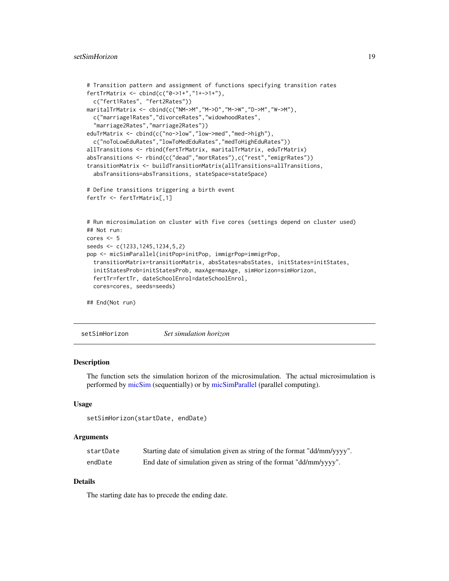```
# Transition pattern and assignment of functions specifying transition rates
fertTrMatrix <- cbind(c("0->1+","1+->1+"),
 c("fert1Rates", "fert2Rates"))
maritalTrMatrix <- cbind(c("NM->M","M->D","M->W","D->M","W->M"),
 c("marriage1Rates","divorceRates","widowhoodRates",
  "marriage2Rates","marriage2Rates"))
eduTrMatrix <- cbind(c("no->low","low->med","med->high"),
 c("noToLowEduRates","lowToMedEduRates","medToHighEduRates"))
allTransitions <- rbind(fertTrMatrix, maritalTrMatrix, eduTrMatrix)
absTransitions <- rbind(c("dead","mortRates"),c("rest","emigrRates"))
transitionMatrix <- buildTransitionMatrix(allTransitions=allTransitions,
 absTransitions=absTransitions, stateSpace=stateSpace)
# Define transitions triggering a birth event
fertTr <- fertTrMatrix[,1]
# Run microsimulation on cluster with five cores (settings depend on cluster used)
## Not run:
cores <- 5
seeds <- c(1233,1245,1234,5,2)
pop <- micSimParallel(initPop=initPop, immigrPop=immigrPop,
 transitionMatrix=transitionMatrix, absStates=absStates, initStates=initStates,
 initStatesProb=initStatesProb, maxAge=maxAge, simHorizon=simHorizon,
 fertTr=fertTr, dateSchoolEnrol=dateSchoolEnrol,
 cores=cores, seeds=seeds)
## End(Not run)
```
<span id="page-18-1"></span>setSimHorizon *Set simulation horizon*

# **Description**

The function sets the simulation horizon of the microsimulation. The actual microsimulation is performed by [micSim](#page-7-1) (sequentially) or by [micSimParallel](#page-14-1) (parallel computing).

#### Usage

```
setSimHorizon(startDate, endDate)
```
#### Arguments

| startDate | Starting date of simulation given as string of the format "dd/mm/yyyy". |
|-----------|-------------------------------------------------------------------------|
| endDate   | End date of simulation given as string of the format "dd/mm/yyyy".      |

# Details

The starting date has to precede the ending date.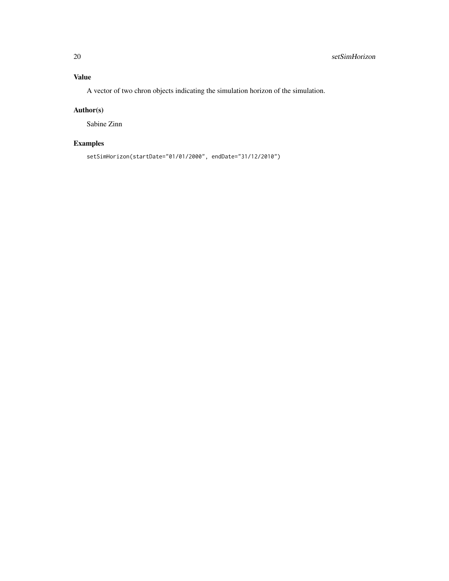A vector of two chron objects indicating the simulation horizon of the simulation.

# Author(s)

Sabine Zinn

# Examples

setSimHorizon(startDate="01/01/2000", endDate="31/12/2010")